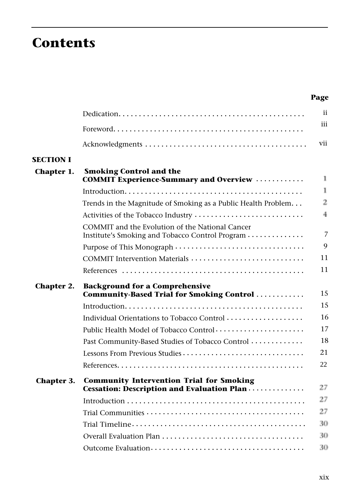## **Contents**

| ×<br>× |
|--------|
|--------|

|                   |                                                                                                    | ii             |
|-------------------|----------------------------------------------------------------------------------------------------|----------------|
|                   |                                                                                                    | iii            |
|                   |                                                                                                    | vii            |
| <b>SECTION I</b>  |                                                                                                    |                |
| Chapter 1.        | <b>Smoking Control and the</b><br><b>COMMIT Experience-Summary and Overview </b>                   | 1              |
|                   |                                                                                                    | 1              |
|                   | Trends in the Magnitude of Smoking as a Public Health Problem                                      | 2              |
|                   | Activities of the Tobacco Industry                                                                 | $\overline{4}$ |
|                   | COMMIT and the Evolution of the National Cancer<br>Institute's Smoking and Tobacco Control Program | $\overline{7}$ |
|                   | Purpose of This Monograph                                                                          | 9              |
|                   | COMMIT Intervention Materials                                                                      | 11             |
|                   |                                                                                                    | 11             |
| Chapter 2.        | <b>Background for a Comprehensive</b><br>Community-Based Trial for Smoking Control                 | 15             |
|                   |                                                                                                    | 15             |
|                   | Individual Orientations to Tobacco Control                                                         | 16             |
|                   | Public Health Model of Tobacco Control                                                             | 17             |
|                   | Past Community-Based Studies of Tobacco Control                                                    | 18             |
|                   | Lessons From Previous Studies                                                                      | 21             |
|                   |                                                                                                    | 22             |
| <b>Chapter 3.</b> | <b>Community Intervention Trial for Smoking</b><br>Cessation: Description and Evaluation Plan      | 27             |
|                   |                                                                                                    | 27             |
|                   |                                                                                                    |                |
|                   |                                                                                                    | 27             |
|                   |                                                                                                    | 30             |
|                   |                                                                                                    | 30             |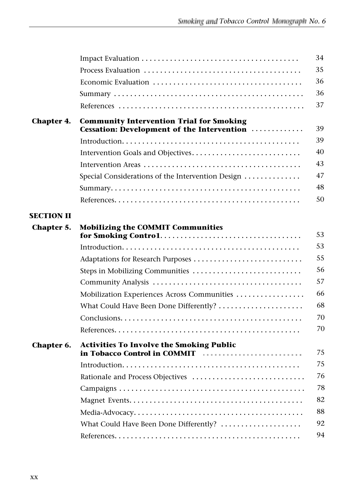|                   |                                                                                                                                                                                                                                                                                                                                                                                                                                                                                                            | 34 |
|-------------------|------------------------------------------------------------------------------------------------------------------------------------------------------------------------------------------------------------------------------------------------------------------------------------------------------------------------------------------------------------------------------------------------------------------------------------------------------------------------------------------------------------|----|
|                   |                                                                                                                                                                                                                                                                                                                                                                                                                                                                                                            | 35 |
|                   |                                                                                                                                                                                                                                                                                                                                                                                                                                                                                                            | 36 |
|                   |                                                                                                                                                                                                                                                                                                                                                                                                                                                                                                            | 36 |
|                   |                                                                                                                                                                                                                                                                                                                                                                                                                                                                                                            | 37 |
| <b>Chapter 4.</b> | <b>Community Intervention Trial for Smoking</b><br>Cessation: Development of the Intervention                                                                                                                                                                                                                                                                                                                                                                                                              | 39 |
|                   |                                                                                                                                                                                                                                                                                                                                                                                                                                                                                                            | 39 |
|                   |                                                                                                                                                                                                                                                                                                                                                                                                                                                                                                            | 40 |
|                   |                                                                                                                                                                                                                                                                                                                                                                                                                                                                                                            | 43 |
|                   | Special Considerations of the Intervention Design                                                                                                                                                                                                                                                                                                                                                                                                                                                          | 47 |
|                   |                                                                                                                                                                                                                                                                                                                                                                                                                                                                                                            | 48 |
|                   |                                                                                                                                                                                                                                                                                                                                                                                                                                                                                                            | 50 |
| <b>SECTION II</b> |                                                                                                                                                                                                                                                                                                                                                                                                                                                                                                            |    |
| Chapter 5.        | <b>Mobilizing the COMMIT Communities</b>                                                                                                                                                                                                                                                                                                                                                                                                                                                                   | 53 |
|                   |                                                                                                                                                                                                                                                                                                                                                                                                                                                                                                            | 53 |
|                   | Adaptations for Research Purposes                                                                                                                                                                                                                                                                                                                                                                                                                                                                          | 55 |
|                   | Steps in Mobilizing Communities                                                                                                                                                                                                                                                                                                                                                                                                                                                                            | 56 |
|                   |                                                                                                                                                                                                                                                                                                                                                                                                                                                                                                            | 57 |
|                   | Mobilization Experiences Across Communities                                                                                                                                                                                                                                                                                                                                                                                                                                                                | 66 |
|                   | What Could Have Been Done Differently?                                                                                                                                                                                                                                                                                                                                                                                                                                                                     | 68 |
|                   |                                                                                                                                                                                                                                                                                                                                                                                                                                                                                                            | 70 |
|                   |                                                                                                                                                                                                                                                                                                                                                                                                                                                                                                            | 70 |
| Chapter 6.        | <b>Activities To Involve the Smoking Public</b>                                                                                                                                                                                                                                                                                                                                                                                                                                                            |    |
|                   | in Tobacco Control in COMMIT<br>$\label{eq:3.1} \begin{split} \mathbf{r}^{\prime} & = \mathbf{r}^{\prime} \cdot \mathbf{r}^{\prime} + \mathbf{r}^{\prime} \cdot \mathbf{r}^{\prime} + \mathbf{r}^{\prime} \cdot \mathbf{r}^{\prime} + \mathbf{r}^{\prime} \cdot \mathbf{r}^{\prime} + \mathbf{r}^{\prime} \cdot \mathbf{r}^{\prime} + \mathbf{r}^{\prime} \cdot \mathbf{r}^{\prime} + \mathbf{r}^{\prime} \cdot \mathbf{r}^{\prime} + \mathbf{r}^{\prime} \cdot \mathbf{r}^{\prime} + \mathbf{r}^{\prime}$ | 75 |
|                   |                                                                                                                                                                                                                                                                                                                                                                                                                                                                                                            | 75 |
|                   | Rationale and Process Objectives                                                                                                                                                                                                                                                                                                                                                                                                                                                                           | 76 |
|                   |                                                                                                                                                                                                                                                                                                                                                                                                                                                                                                            | 78 |
|                   |                                                                                                                                                                                                                                                                                                                                                                                                                                                                                                            | 82 |
|                   |                                                                                                                                                                                                                                                                                                                                                                                                                                                                                                            | 88 |
|                   | What Could Have Been Done Differently?                                                                                                                                                                                                                                                                                                                                                                                                                                                                     | 92 |
|                   |                                                                                                                                                                                                                                                                                                                                                                                                                                                                                                            | 94 |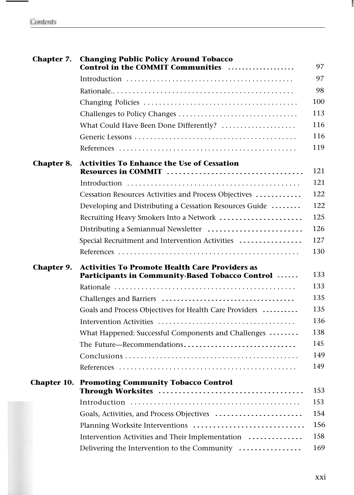| Chapter 7.        | <b>Changing Public Policy Around Tobacco</b><br>Control in the COMMIT Communities                        | 97  |
|-------------------|----------------------------------------------------------------------------------------------------------|-----|
|                   |                                                                                                          | 97  |
|                   |                                                                                                          | 98  |
|                   |                                                                                                          | 100 |
|                   |                                                                                                          | 113 |
|                   | What Could Have Been Done Differently?                                                                   | 116 |
|                   |                                                                                                          | 116 |
|                   |                                                                                                          | 119 |
| <b>Chapter 8.</b> | <b>Activities To Enhance the Use of Cessation</b>                                                        | 121 |
|                   |                                                                                                          | 121 |
|                   | Cessation Resources Activities and Process Objectives                                                    | 122 |
|                   | Developing and Distributing a Cessation Resources Guide                                                  | 122 |
|                   | Recruiting Heavy Smokers Into a Network                                                                  | 125 |
|                   |                                                                                                          | 126 |
|                   | Special Recruitment and Intervention Activities                                                          | 127 |
|                   |                                                                                                          | 130 |
| Chapter 9.        | <b>Activities To Promote Health Care Providers as</b><br>Participants in Community-Based Tobacco Control | 133 |
|                   |                                                                                                          | 133 |
|                   |                                                                                                          | 135 |
|                   | Goals and Process Objectives for Health Care Providers                                                   | 135 |
|                   |                                                                                                          | 136 |
|                   | What Happened: Successful Components and Challenges                                                      | 138 |
|                   | The Future-Recommendations                                                                               | 145 |
|                   |                                                                                                          | 149 |
|                   |                                                                                                          | 149 |
|                   | <b>Chapter 10. Promoting Community Tobacco Control</b>                                                   |     |
|                   |                                                                                                          | 153 |
|                   |                                                                                                          | 153 |
|                   | Goals, Activities, and Process Objectives                                                                | 154 |
|                   | Planning Worksite Interventions                                                                          | 156 |
|                   | Intervention Activities and Their Implementation                                                         | 158 |
|                   | Delivering the Intervention to the Community                                                             | 169 |

I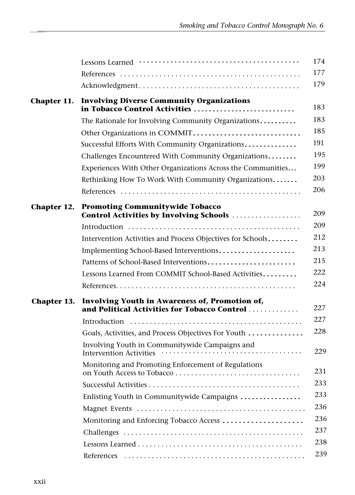|             |                                                                                  | 174 |
|-------------|----------------------------------------------------------------------------------|-----|
|             |                                                                                  | 177 |
|             |                                                                                  | 179 |
| Chapter 11. | <b>Involving Diverse Community Organizations</b>                                 |     |
|             | in Tobacco Control Activities                                                    | 183 |
|             | The Rationale for Involving Community Organizations                              | 183 |
|             | Other Organizations in COMMIT                                                    | 185 |
|             | Successful Efforts With Community Organizations                                  | 191 |
|             | Challenges Encountered With Community Organizations                              | 195 |
|             | Experiences With Other Organizations Across the Communities                      | 199 |
|             | Rethinking How To Work With Community Organizations                              | 203 |
|             |                                                                                  | 206 |
| Chapter 12. | <b>Promoting Communitywide Tobacco</b>                                           |     |
|             | Control Activities by Involving Schools                                          | 209 |
|             |                                                                                  | 209 |
|             | Intervention Activities and Process Objectives for Schools                       | 212 |
|             | Implementing School-Based Interventions                                          | 213 |
|             | Patterns of School-Based Interventions                                           | 215 |
|             | Lessons Learned From COMMIT School-Based Activities                              | 222 |
|             |                                                                                  | 224 |
| Chapter 13. | Involving Youth in Awareness of, Promotion of,                                   |     |
|             | and Political Activities for Tobacco Control                                     | 227 |
|             |                                                                                  | 227 |
|             | Goals, Activities, and Process Objectives For Youth                              | 228 |
|             | Involving Youth in Communitywide Campaigns and<br><b>Intervention Activities</b> | 229 |
|             | Monitoring and Promoting Enforcement of Regulations                              | 231 |
|             |                                                                                  | 233 |
|             | Enlisting Youth in Communitywide Campaigns                                       | 233 |
|             |                                                                                  | 236 |
|             | Monitoring and Enforcing Tobacco Access                                          | 236 |
|             |                                                                                  | 237 |
|             |                                                                                  | 238 |
|             |                                                                                  | 239 |